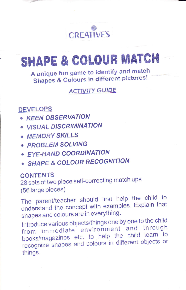

# SHAPE & COLOUR MATCH

A unique fun game to identify and match **Shapes & Colours in different pictures!** 

**ACTIVITY GUIDE** 

# **DEVELOPS**

- KEEN OBSERVATION
- · VISUAL DISCRIMINATION
- · MEMORY SKILLS
- · PROBLEM SOLVING
- · EYE-HAND COORDINATION
- · SHAPE & COLOUR RECOGNITION

## **CONTENTS**

28 sets of two piece self-correcting match ups (56 large pieces)

The parent/teacher should first help the child to understand the concept with examples. Explain that shapes and colours are in everything.

Introduce various objects/things one by one to the child from immediate environment and through books/magazines etc. to help the child learn to recognize shapes and colours in different objects or things.